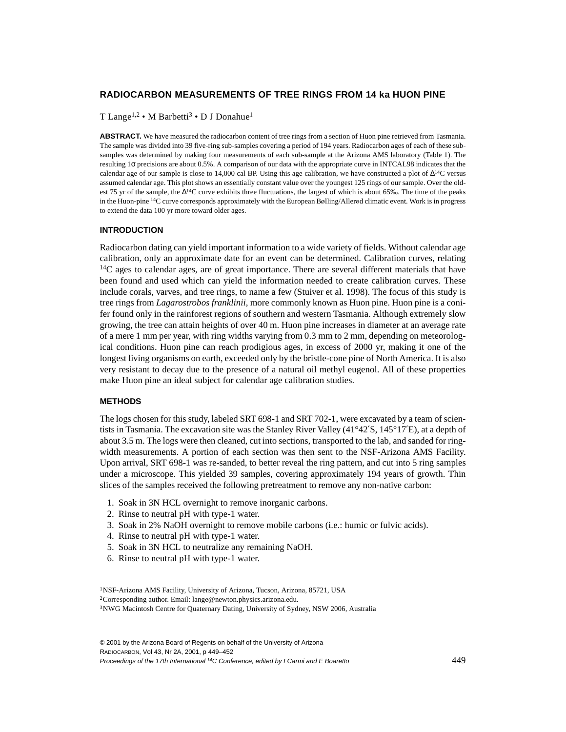# **RADIOCARBON MEASUREMENTS OF TREE RINGS FROM 14 ka HUON PINE**

T Lange<sup>1,2</sup> • M Barbetti<sup>3</sup> • D J Donahue<sup>1</sup>

ABSTRACT. We have measured the radiocarbon content of tree rings from a section of Huon pine retrieved from Tasmania. The sample was divided into 39 five-ring sub-samples covering a period of 194 years. Radiocarbon ages of each of these subsamples was determined by making four measurements of each sub-sample at the Arizona AMS laboratory (Table 1). The resulting 1σ precisions are about 0.5%. A comparison of our data with the appropriate curve in INTCAL98 indicates that the calendar age of our sample is close to 14,000 cal BP. Using this age calibration, we have constructed a plot of  $\Delta^{14}C$  versus assumed calendar age. This plot shows an essentially constant value over the youngest 125 rings of our sample. Over the oldest 75 yr of the sample, the ∆14C curve exhibits three fluctuations, the largest of which is about 65‰. The time of the peaks in the Huon-pine <sup>14</sup>C curve corresponds approximately with the European Bølling/Allerød climatic event. Work is in progress to extend the data 100 yr more toward older ages.

### **INTRODUCTION**

Radiocarbon dating can yield important information to a wide variety of fields. Without calendar age calibration, only an approximate date for an event can be determined. Calibration curves, relating  $14C$  ages to calendar ages, are of great importance. There are several different materials that have been found and used which can yield the information needed to create calibration curves. These include corals, varves, and tree rings, to name a few (Stuiver et al. 1998). The focus of this study is tree rings from *Lagarostrobos franklinii*, more commonly known as Huon pine. Huon pine is a conifer found only in the rainforest regions of southern and western Tasmania. Although extremely slow growing, the tree can attain heights of over 40 m. Huon pine increases in diameter at an average rate of a mere 1 mm per year, with ring widths varying from 0.3 mm to 2 mm, depending on meteorological conditions. Huon pine can reach prodigious ages, in excess of 2000 yr, making it one of the longest living organisms on earth, exceeded only by the bristle-cone pine of North America. It is also very resistant to decay due to the presence of a natural oil methyl eugenol. All of these properties make Huon pine an ideal subject for calendar age calibration studies.

# **METHODS**

The logs chosen for this study, labeled SRT 698-1 and SRT 702-1, were excavated by a team of scientists in Tasmania. The excavation site was the Stanley River Valley (41°42′S, 145°17′E), at a depth of about 3.5 m. The logs were then cleaned, cut into sections, transported to the lab, and sanded for ringwidth measurements. A portion of each section was then sent to the NSF-Arizona AMS Facility. Upon arrival, SRT 698-1 was re-sanded, to better reveal the ring pattern, and cut into 5 ring samples under a microscope. This yielded 39 samples, covering approximately 194 years of growth. Thin slices of the samples received the following pretreatment to remove any non-native carbon:

- 1. Soak in 3N HCL overnight to remove inorganic carbons.
- 2. Rinse to neutral pH with type-1 water.
- 3. Soak in 2% NaOH overnight to remove mobile carbons (i.e.: humic or fulvic acids).
- 4. Rinse to neutral pH with type-1 water.
- 5. Soak in 3N HCL to neutralize any remaining NaOH.
- 6. Rinse to neutral pH with type-1 water.

<sup>1</sup>NSF-Arizona AMS Facility, University of Arizona, Tucson, Arizona, 85721, USA 2Corresponding author. Email: lange@newton.physics.arizona.edu. 3NWG Macintosh Centre for Quaternary Dating, University of Sydney, NSW 2006, Australia

© 2001 by the Arizona Board of Regents on behalf of the University of Arizona RADIOCARBON, Vol 43, Nr 2A, 2001, p 449–452 Proceedings of the 17th International <sup>14</sup>C Conference, edited by I Carmi and E Boaretto 449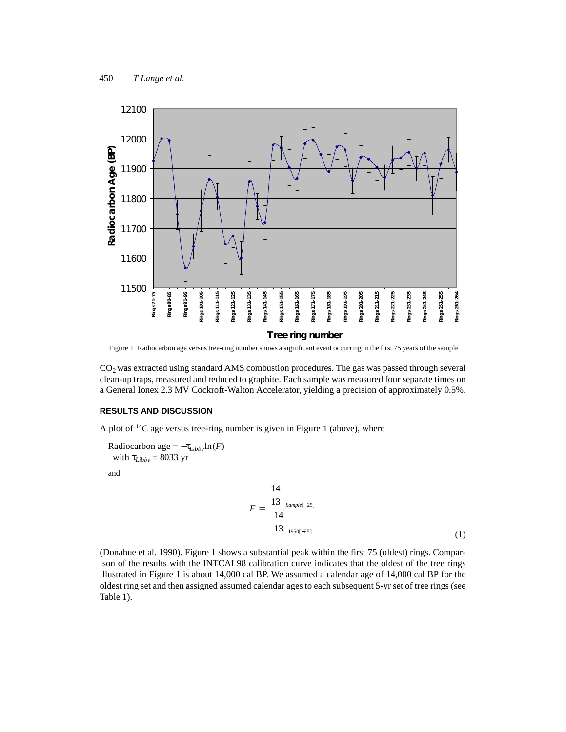

Figure 1 Radiocarbon age versus tree-ring number shows a significant event occurring in the first 75 years of the sample

 $CO<sub>2</sub>$  was extracted using standard AMS combustion procedures. The gas was passed through several clean-up traps, measured and reduced to graphite. Each sample was measured four separate times on a General Ionex 2.3 MV Cockroft-Walton Accelerator, yielding a precision of approximately 0.5%.

## **RESULTS AND DISCUSSION**

A plot of  $^{14}C$  age versus tree-ring number is given in Figure 1 (above), where

Radiocarbon age =  $-\tau_{Libby}$ ln(*F*) with  $\tau_{Libby} = 8033$  yr

and

$$
F = \frac{\left(\frac{14}{13}\right)_{Sample[-25]}}{\left(\frac{14}{13}\right)_{950[-25]}}
$$
(1)

(Donahue et al. 1990). Figure 1 shows a substantial peak within the first 75 (oldest) rings. Comparison of the results with the INTCAL98 calibration curve indicates that the oldest of the tree rings illustrated in Figure 1 is about 14,000 cal BP. We assumed a calendar age of 14,000 cal BP for the oldest ring set and then assigned assumed calendar ages to each subsequent 5-yr set of tree rings (see Table 1).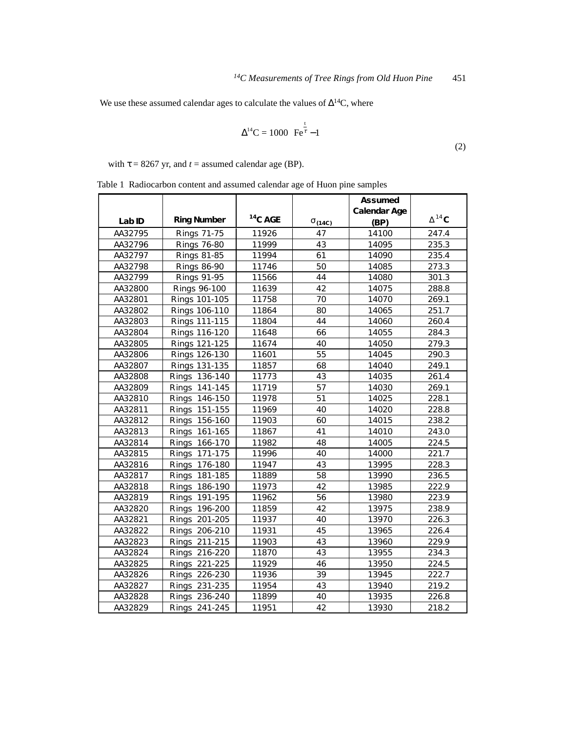We use these assumed calendar ages to calculate the values of ∆14C, where

$$
\Delta^{14}C = 1000 \left( \overline{\text{Fe}^{\frac{t}{\tau}}} - 1 \right)
$$
 (2)

with  $\tau = 8267$  yr, and  $t =$  assumed calendar age (BP).

Table 1 Radiocarbon content and assumed calendar age of Huon pine samples

|         |                    |            |                 | As s umed            |                 |
|---------|--------------------|------------|-----------------|----------------------|-----------------|
| L ab ID | <b>Ring Number</b> | $14$ C AGE | $\sigma$ (14C)  | Calendar Age<br>(BP) | $\Delta^{14}$ C |
| AA32795 | Rings 71-75        | 11926      | 47              | 14100                | 247.4           |
| AA32796 | <b>Rings 76-80</b> | 11999      | 43              | 14095                | 235.3           |
| AA32797 | <b>Rings 81-85</b> | 11994      | 61              | 14090                | 235.4           |
| AA32798 | <b>Rings 86-90</b> | 11746      | 50              | 14085                | 273.3           |
| AA32799 | <b>Rings 91-95</b> | 11566      | 44              | 14080                | 301.3           |
| AA32800 | Rings 96-100       | 11639      | 42              | 14075                | 288.8           |
| AA32801 | Rings 101-105      | 11758      | 70              | 14070                | 269.1           |
| AA32802 | Rings 106-110      | 11864      | 80              | 14065                | 251.7           |
| AA32803 | Rings 111-115      | 11804      | 44              | 14060                | 260.4           |
| AA32804 | Rings 116-120      | 11648      | 66              | 14055                | 284.3           |
| AA32805 | Rings 121-125      | 11674      | 40              | 14050                | 279.3           |
| AA32806 | Rings 126-130      | 11601      | 55              | 14045                | 290.3           |
| AA32807 | Rings 131-135      | 11857      | 68              | 14040                | 249.1           |
| AA32808 | Rings 136-140      | 11773      | 43              | 14035                | 261.4           |
| AA32809 | Rings 141-145      | 11719      | $\overline{57}$ | 14030                | 269.1           |
| AA32810 | 146-150<br>Rings   | 11978      | 51              | 14025                | 228.1           |
| AA32811 | 151-155<br>Rings   | 11969      | 40              | 14020                | 228.8           |
| AA32812 | 156-160<br>Rings   | 11903      | 60              | 14015                | 238.2           |
| AA32813 | 161-165<br>Rings   | 11867      | 41              | 14010                | 243.0           |
| AA32814 | Rings<br>166-170   | 11982      | 48              | 14005                | 224.5           |
| AA32815 | 171-175<br>Rings   | 11996      | 40              | 14000                | 221.7           |
| AA32816 | Rings<br>176-180   | 11947      | 43              | 13995                | 228.3           |
| AA32817 | Rings<br>181-185   | 11889      | 58              | 13990                | 236.5           |
| AA32818 | 186-190<br>Rings   | 11973      | 42              | 13985                | 222.9           |
| AA32819 | 191-195<br>Rings   | 11962      | 56              | 13980                | 223.9           |
| AA32820 | Rings<br>196-200   | 11859      | 42              | 13975                | 238.9           |
| AA32821 | 201-205<br>Rings   | 11937      | 40              | 13970                | 226.3           |
| AA32822 | Rings 206-210      | 11931      | 45              | 13965                | 226.4           |
| AA32823 | Rings 211-215      | 11903      | 43              | 13960                | 229.9           |
| AA32824 | Rings 216-220      | 11870      | 43              | 13955                | 234.3           |
| AA32825 | Rings 221-225      | 11929      | 46              | 13950                | 224.5           |
| AA32826 | Rings 226-230      | 11936      | 39              | 13945                | 222.7           |
| AA32827 | Rings 231-235      | 11954      | 43              | 13940                | 219.2           |
| AA32828 | Rings 236-240      | 11899      | 40              | 13935                | 226.8           |
| AA32829 | Rings 241-245      | 11951      | 42              | 13930                | 218.2           |